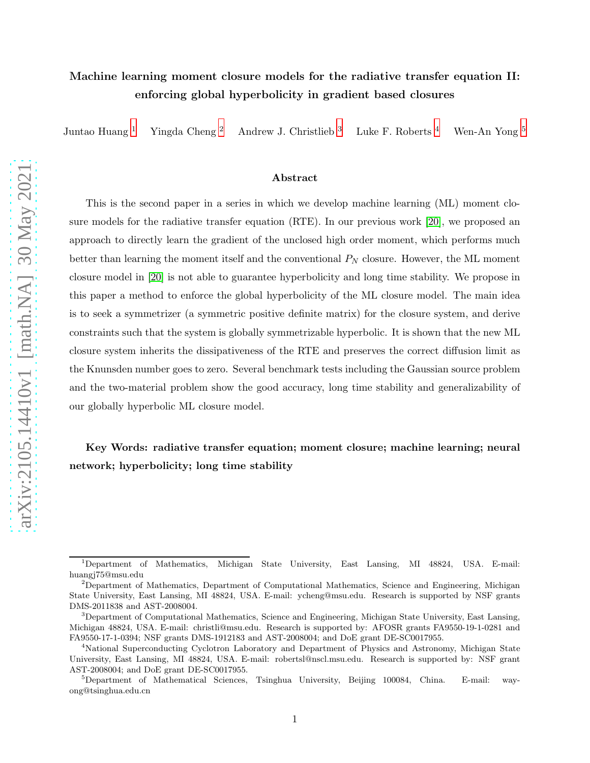# Machine learning moment closure models for the radiative transfer equation II: enforcing global hyperbolicity in gradient based closures

Juntao Huang [1](#page-0-0) Yingda Cheng [2](#page-0-1) Andrew J. Christlieb [3](#page-0-2) Luke F. Roberts [4](#page-0-3) Wen-An Yong [5](#page-0-4)

#### Abstract

This is the second paper in a series in which we develop machine learning (ML) moment closure models for the radiative transfer equation (RTE). In our previous work [\[20\]](#page-21-0), we proposed an approach to directly learn the gradient of the unclosed high order moment, which performs much better than learning the moment itself and the conventional  $P_N$  closure. However, the ML moment closure model in [\[20\]](#page-21-0) is not able to guarantee hyperbolicity and long time stability. We propose in this paper a method to enforce the global hyperbolicity of the ML closure model. The main idea is to seek a symmetrizer (a symmetric positive definite matrix) for the closure system, and derive constraints such that the system is globally symmetrizable hyperbolic. It is shown that the new ML closure system inherits the dissipativeness of the RTE and preserves the correct diffusion limit as the Knunsden number goes to zero. Several benchmark tests including the Gaussian source problem and the two-material problem show the good accuracy, long time stability and generalizability of our globally hyperbolic ML closure model.

# Key Words: radiative transfer equation; moment closure; machine learning; neural network; hyperbolicity; long time stability

<span id="page-0-0"></span><sup>1</sup>Department of Mathematics, Michigan State University, East Lansing, MI 48824, USA. E-mail: huangj75@msu.edu

<span id="page-0-1"></span><sup>&</sup>lt;sup>2</sup>Department of Mathematics, Department of Computational Mathematics, Science and Engineering, Michigan State University, East Lansing, MI 48824, USA. E-mail: ycheng@msu.edu. Research is supported by NSF grants DMS-2011838 and AST-2008004.

<span id="page-0-2"></span><sup>3</sup>Department of Computational Mathematics, Science and Engineering, Michigan State University, East Lansing, Michigan 48824, USA. E-mail: christli@msu.edu. Research is supported by: AFOSR grants FA9550-19-1-0281 and FA9550-17-1-0394; NSF grants DMS-1912183 and AST-2008004; and DoE grant DE-SC0017955.

<span id="page-0-3"></span><sup>4</sup>National Superconducting Cyclotron Laboratory and Department of Physics and Astronomy, Michigan State University, East Lansing, MI 48824, USA. E-mail: robertsl@nscl.msu.edu. Research is supported by: NSF grant AST-2008004; and DoE grant DE-SC0017955.

<span id="page-0-4"></span> $5$ Department of Mathematical Sciences, Tsinghua University, Beijing 100084, China. E-mail: wayong@tsinghua.edu.cn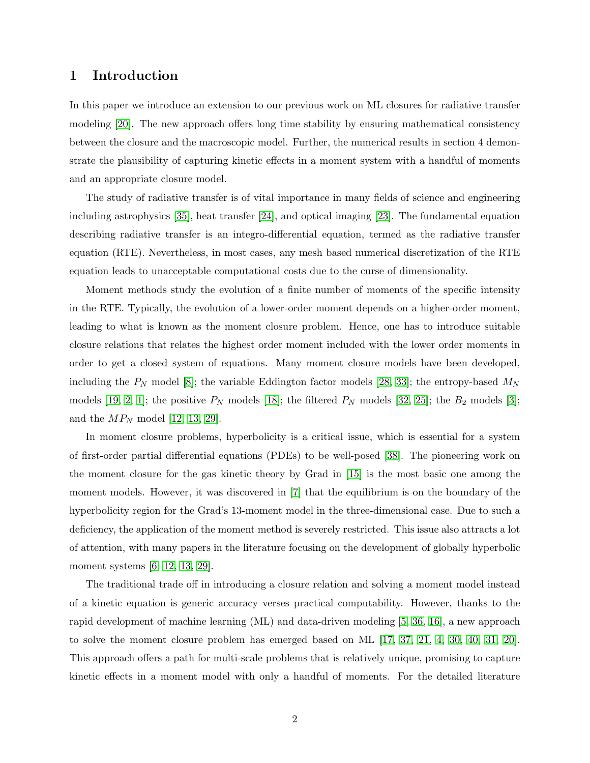### 1 Introduction

In this paper we introduce an extension to our previous work on ML closures for radiative transfer modeling [\[20\]](#page-21-0). The new approach offers long time stability by ensuring mathematical consistency between the closure and the macroscopic model. Further, the numerical results in section 4 demonstrate the plausibility of capturing kinetic effects in a moment system with a handful of moments and an appropriate closure model.

The study of radiative transfer is of vital importance in many fields of science and engineering including astrophysics [\[35\]](#page-22-0), heat transfer [\[24\]](#page-22-1), and optical imaging [\[23\]](#page-21-1). The fundamental equation describing radiative transfer is an integro-differential equation, termed as the radiative transfer equation (RTE). Nevertheless, in most cases, any mesh based numerical discretization of the RTE equation leads to unacceptable computational costs due to the curse of dimensionality.

Moment methods study the evolution of a finite number of moments of the specific intensity in the RTE. Typically, the evolution of a lower-order moment depends on a higher-order moment, leading to what is known as the moment closure problem. Hence, one has to introduce suitable closure relations that relates the highest order moment included with the lower order moments in order to get a closed system of equations. Many moment closure models have been developed, including the  $P_N$  model [\[8\]](#page-20-0); the variable Eddington factor models [\[28,](#page-22-2) [33\]](#page-22-3); the entropy-based  $M_N$ models [\[19,](#page-21-2) [2,](#page-20-1) [1\]](#page-20-2); the positive  $P_N$  models [\[18\]](#page-21-3); the filtered  $P_N$  models [\[32,](#page-22-4) [25\]](#page-22-5); the  $B_2$  models [\[3\]](#page-20-3); and the  $MP_N$  model [\[12,](#page-21-4) [13,](#page-21-5) [29\]](#page-22-6).

In moment closure problems, hyperbolicity is a critical issue, which is essential for a system of first-order partial differential equations (PDEs) to be well-posed [\[38\]](#page-23-0). The pioneering work on the moment closure for the gas kinetic theory by Grad in [\[15\]](#page-21-6) is the most basic one among the moment models. However, it was discovered in [\[7\]](#page-20-4) that the equilibrium is on the boundary of the hyperbolicity region for the Grad's 13-moment model in the three-dimensional case. Due to such a deficiency, the application of the moment method is severely restricted. This issue also attracts a lot of attention, with many papers in the literature focusing on the development of globally hyperbolic moment systems [\[6,](#page-20-5) [12,](#page-21-4) [13,](#page-21-5) [29\]](#page-22-6).

The traditional trade off in introducing a closure relation and solving a moment model instead of a kinetic equation is generic accuracy verses practical computability. However, thanks to the rapid development of machine learning (ML) and data-driven modeling [\[5,](#page-20-6) [36,](#page-22-7) [16\]](#page-21-7), a new approach to solve the moment closure problem has emerged based on ML [\[17,](#page-21-8) [37,](#page-23-1) [21,](#page-21-9) [4,](#page-20-7) [30,](#page-22-8) [40,](#page-23-2) [31,](#page-22-9) [20\]](#page-21-0). This approach offers a path for multi-scale problems that is relatively unique, promising to capture kinetic effects in a moment model with only a handful of moments. For the detailed literature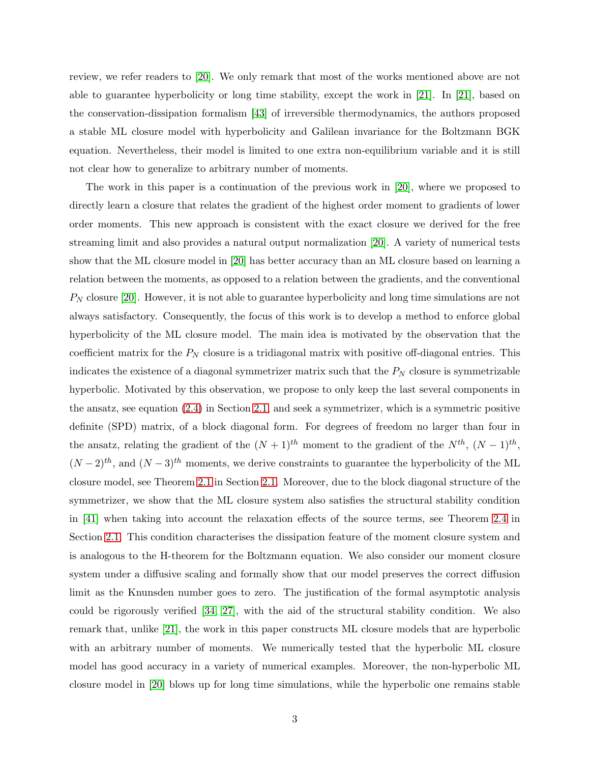review, we refer readers to [\[20\]](#page-21-0). We only remark that most of the works mentioned above are not able to guarantee hyperbolicity or long time stability, except the work in [\[21\]](#page-21-9). In [\[21\]](#page-21-9), based on the conservation-dissipation formalism [\[43\]](#page-23-3) of irreversible thermodynamics, the authors proposed a stable ML closure model with hyperbolicity and Galilean invariance for the Boltzmann BGK equation. Nevertheless, their model is limited to one extra non-equilibrium variable and it is still not clear how to generalize to arbitrary number of moments.

The work in this paper is a continuation of the previous work in [\[20\]](#page-21-0), where we proposed to directly learn a closure that relates the gradient of the highest order moment to gradients of lower order moments. This new approach is consistent with the exact closure we derived for the free streaming limit and also provides a natural output normalization [\[20\]](#page-21-0). A variety of numerical tests show that the ML closure model in [\[20\]](#page-21-0) has better accuracy than an ML closure based on learning a relation between the moments, as opposed to a relation between the gradients, and the conventional  $P_N$  closure [\[20\]](#page-21-0). However, it is not able to guarantee hyperbolicity and long time simulations are not always satisfactory. Consequently, the focus of this work is to develop a method to enforce global hyperbolicity of the ML closure model. The main idea is motivated by the observation that the coefficient matrix for the  $P_N$  closure is a tridiagonal matrix with positive off-diagonal entries. This indicates the existence of a diagonal symmetrizer matrix such that the  $P_N$  closure is symmetrizable hyperbolic. Motivated by this observation, we propose to only keep the last several components in the ansatz, see equation [\(2.4\)](#page-3-0) in Section [2.1,](#page-3-1) and seek a symmetrizer, which is a symmetric positive definite (SPD) matrix, of a block diagonal form. For degrees of freedom no larger than four in the ansatz, relating the gradient of the  $(N+1)$ <sup>th</sup> moment to the gradient of the  $N^{th}$ ,  $(N-1)^{th}$ ,  $(N-2)<sup>th</sup>$ , and  $(N-3)<sup>th</sup>$  moments, we derive constraints to guarantee the hyperbolicity of the ML closure model, see Theorem [2.1](#page-5-0) in Section [2.1.](#page-3-1) Moreover, due to the block diagonal structure of the symmetrizer, we show that the ML closure system also satisfies the structural stability condition in [\[41\]](#page-23-4) when taking into account the relaxation effects of the source terms, see Theorem [2.4](#page-7-0) in Section [2.1.](#page-3-1) This condition characterises the dissipation feature of the moment closure system and is analogous to the H-theorem for the Boltzmann equation. We also consider our moment closure system under a diffusive scaling and formally show that our model preserves the correct diffusion limit as the Knunsden number goes to zero. The justification of the formal asymptotic analysis could be rigorously verified [\[34,](#page-22-10) [27\]](#page-22-11), with the aid of the structural stability condition. We also remark that, unlike [\[21\]](#page-21-9), the work in this paper constructs ML closure models that are hyperbolic with an arbitrary number of moments. We numerically tested that the hyperbolic ML closure model has good accuracy in a variety of numerical examples. Moreover, the non-hyperbolic ML closure model in [\[20\]](#page-21-0) blows up for long time simulations, while the hyperbolic one remains stable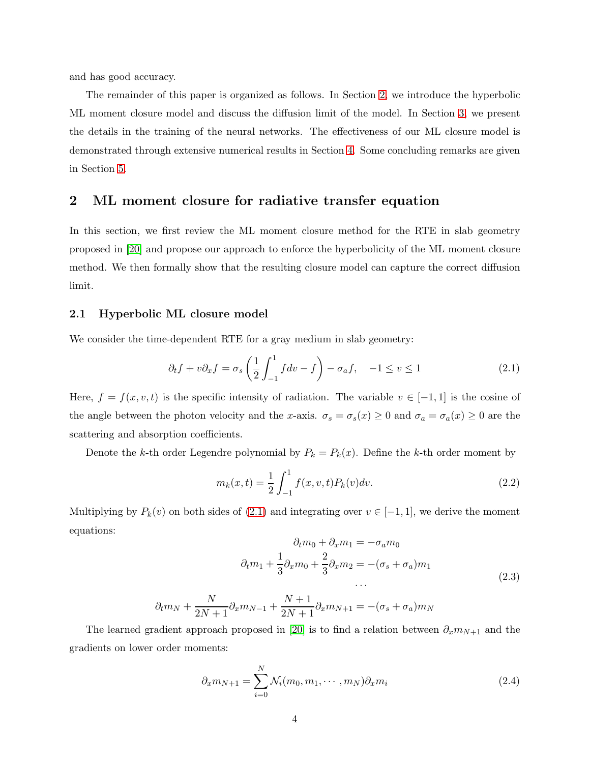and has good accuracy.

The remainder of this paper is organized as follows. In Section [2,](#page-3-2) we introduce the hyperbolic ML moment closure model and discuss the diffusion limit of the model. In Section [3,](#page-8-0) we present the details in the training of the neural networks. The effectiveness of our ML closure model is demonstrated through extensive numerical results in Section [4.](#page-9-0) Some concluding remarks are given in Section [5.](#page-15-0)

#### <span id="page-3-2"></span>2 ML moment closure for radiative transfer equation

In this section, we first review the ML moment closure method for the RTE in slab geometry proposed in [\[20\]](#page-21-0) and propose our approach to enforce the hyperbolicity of the ML moment closure method. We then formally show that the resulting closure model can capture the correct diffusion limit.

#### <span id="page-3-1"></span>2.1 Hyperbolic ML closure model

We consider the time-dependent RTE for a gray medium in slab geometry:

<span id="page-3-3"></span>
$$
\partial_t f + v \partial_x f = \sigma_s \left( \frac{1}{2} \int_{-1}^1 f dv - f \right) - \sigma_a f, \quad -1 \le v \le 1 \tag{2.1}
$$

Here,  $f = f(x, v, t)$  is the specific intensity of radiation. The variable  $v \in [-1, 1]$  is the cosine of the angle between the photon velocity and the x-axis.  $\sigma_s = \sigma_s(x) \ge 0$  and  $\sigma_a = \sigma_a(x) \ge 0$  are the scattering and absorption coefficients.

Denote the k-th order Legendre polynomial by  $P_k = P_k(x)$ . Define the k-th order moment by

$$
m_k(x,t) = \frac{1}{2} \int_{-1}^{1} f(x,v,t) P_k(v) dv.
$$
\n(2.2)

Multiplying by  $P_k(v)$  on both sides of  $(2.1)$  and integrating over  $v \in [-1,1]$ , we derive the moment equations:

$$
\partial_t m_0 + \partial_x m_1 = -\sigma_a m_0
$$
  

$$
\partial_t m_1 + \frac{1}{3} \partial_x m_0 + \frac{2}{3} \partial_x m_2 = -(\sigma_s + \sigma_a) m_1
$$
  
...  

$$
\partial_t m_N + \frac{N}{2N+1} \partial_x m_{N-1} + \frac{N+1}{2N+1} \partial_x m_{N+1} = -(\sigma_s + \sigma_a) m_N
$$
 (2.3)

The learned gradient approach proposed in [\[20\]](#page-21-0) is to find a relation between  $\partial_x m_{N+1}$  and the gradients on lower order moments:

<span id="page-3-0"></span>
$$
\partial_x m_{N+1} = \sum_{i=0}^N \mathcal{N}_i(m_0, m_1, \cdots, m_N) \partial_x m_i \tag{2.4}
$$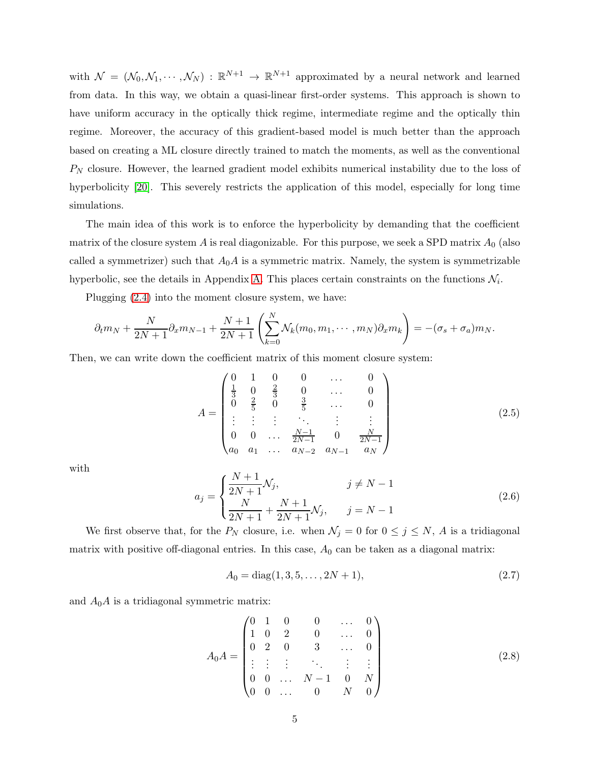with  $\mathcal{N} = (\mathcal{N}_0, \mathcal{N}_1, \cdots, \mathcal{N}_N) : \mathbb{R}^{N+1} \to \mathbb{R}^{N+1}$  approximated by a neural network and learned from data. In this way, we obtain a quasi-linear first-order systems. This approach is shown to have uniform accuracy in the optically thick regime, intermediate regime and the optically thin regime. Moreover, the accuracy of this gradient-based model is much better than the approach based on creating a ML closure directly trained to match the moments, as well as the conventional  $P_N$  closure. However, the learned gradient model exhibits numerical instability due to the loss of hyperbolicity [\[20\]](#page-21-0). This severely restricts the application of this model, especially for long time simulations.

The main idea of this work is to enforce the hyperbolicity by demanding that the coefficient matrix of the closure system A is real diagonizable. For this purpose, we seek a SPD matrix  $A_0$  (also called a symmetrizer) such that  $A_0A$  is a symmetric matrix. Namely, the system is symmetrizable hyperbolic, see the details in Appendix [A.](#page-16-0) This places certain constraints on the functions  $\mathcal{N}_i$ .

Plugging [\(2.4\)](#page-3-0) into the moment closure system, we have:

$$
\partial_t m_N + \frac{N}{2N+1} \partial_x m_{N-1} + \frac{N+1}{2N+1} \left( \sum_{k=0}^N \mathcal{N}_k(m_0, m_1, \cdots, m_N) \partial_x m_k \right) = -(\sigma_s + \sigma_a) m_N.
$$

Then, we can write down the coefficient matrix of this moment closure system:

$$
A = \begin{pmatrix} 0 & 1 & 0 & 0 & \dots & 0 \\ \frac{1}{3} & 0 & \frac{2}{3} & 0 & \dots & 0 \\ 0 & \frac{2}{5} & 0 & \frac{3}{5} & \dots & 0 \\ \vdots & \vdots & \vdots & \ddots & \vdots & \vdots \\ 0 & 0 & \dots & \frac{N-1}{2N-1} & 0 & \frac{N}{2N-1} \\ a_0 & a_1 & \dots & a_{N-2} & a_{N-1} & a_N \end{pmatrix}
$$
(2.5)

with

<span id="page-4-0"></span>
$$
a_j = \begin{cases} \frac{N+1}{2N+1} \mathcal{N}_j, & j \neq N-1\\ \frac{N}{2N+1} + \frac{N+1}{2N+1} \mathcal{N}_j, & j = N-1 \end{cases}
$$
\n(2.6)

We first observe that, for the  $P_N$  closure, i.e. when  $\mathcal{N}_j = 0$  for  $0 \le j \le N$ , A is a tridiagonal matrix with positive off-diagonal entries. In this case,  $A_0$  can be taken as a diagonal matrix:

$$
A_0 = \text{diag}(1, 3, 5, \dots, 2N + 1),\tag{2.7}
$$

and  $A_0A$  is a tridiagonal symmetric matrix:

$$
A_0 A = \begin{pmatrix} 0 & 1 & 0 & 0 & \dots & 0 \\ 1 & 0 & 2 & 0 & \dots & 0 \\ 0 & 2 & 0 & 3 & \dots & 0 \\ \vdots & \vdots & \vdots & \ddots & \vdots & \vdots \\ 0 & 0 & \dots & N-1 & 0 & N \\ 0 & 0 & \dots & 0 & N & 0 \end{pmatrix}
$$
(2.8)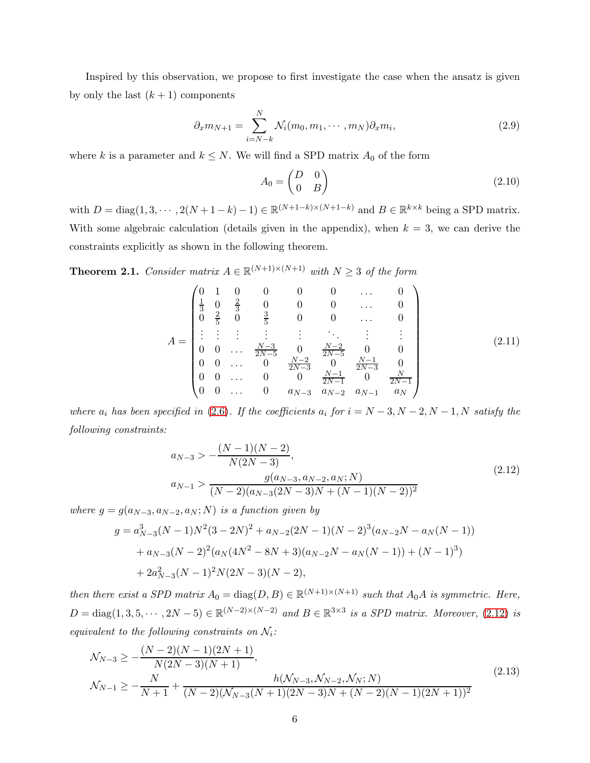Inspired by this observation, we propose to first investigate the case when the ansatz is given by only the last  $(k+1)$  components

<span id="page-5-3"></span>
$$
\partial_x m_{N+1} = \sum_{i=N-k}^N \mathcal{N}_i(m_0, m_1, \cdots, m_N) \partial_x m_i,
$$
\n(2.9)

where k is a parameter and  $k \leq N$ . We will find a SPD matrix  $A_0$  of the form

$$
A_0 = \begin{pmatrix} D & 0 \\ 0 & B \end{pmatrix} \tag{2.10}
$$

with  $D = \text{diag}(1, 3, \dots, 2(N+1-k)-1) \in \mathbb{R}^{(N+1-k)\times(N+1-k)}$  and  $B \in \mathbb{R}^{k \times k}$  being a SPD matrix. With some algebraic calculation (details given in the appendix), when  $k = 3$ , we can derive the constraints explicitly as shown in the following theorem.

<span id="page-5-0"></span>**Theorem 2.1.** Consider matrix  $A \in \mathbb{R}^{(N+1)\times(N+1)}$  with  $N \geq 3$  of the form

<span id="page-5-4"></span>
$$
A = \begin{pmatrix} 0 & 1 & 0 & 0 & 0 & 0 & \dots & 0 \\ \frac{1}{3} & 0 & \frac{2}{3} & 0 & 0 & 0 & \dots & 0 \\ 0 & \frac{2}{5} & 0 & \frac{3}{5} & 0 & 0 & \dots & 0 \\ \vdots & \vdots & \vdots & \vdots & \vdots & \ddots & \vdots & \vdots \\ 0 & 0 & \dots & \frac{N-3}{2N-5} & 0 & \frac{N-2}{2N-5} & 0 & 0 \\ 0 & 0 & \dots & 0 & \frac{N-2}{2N-3} & 0 & \frac{N-1}{2N-3} & 0 \\ 0 & 0 & \dots & 0 & 0 & \frac{N-1}{2N-1} & 0 & \frac{N}{2N-1} \\ 0 & 0 & \dots & 0 & a_{N-3} & a_{N-2} & a_{N-1} & a_N \end{pmatrix}
$$
(2.11)

where  $a_i$  has been specified in [\(2.6\)](#page-4-0). If the coefficients  $a_i$  for  $i = N - 3, N - 2, N - 1, N$  satisfy the following constraints:

<span id="page-5-1"></span>
$$
a_{N-3} > -\frac{(N-1)(N-2)}{N(2N-3)},
$$
  
\n
$$
a_{N-1} > \frac{g(a_{N-3}, a_{N-2}, a_N; N)}{(N-2)(a_{N-3}(2N-3)N + (N-1)(N-2))^2}
$$
\n(2.12)

where  $g = g(a_{N-3}, a_{N-2}, a_N; N)$  is a function given by

$$
g = a_{N-3}^{3}(N-1)N^{2}(3-2N)^{2} + a_{N-2}(2N-1)(N-2)^{3}(a_{N-2}N - a_{N}(N-1))
$$
  
+  $a_{N-3}(N-2)^{2}(a_{N}(4N^{2} - 8N + 3)(a_{N-2}N - a_{N}(N-1)) + (N-1)^{3})$   
+  $2a_{N-3}^{2}(N-1)^{2}N(2N-3)(N-2),$ 

then there exist a SPD matrix  $A_0 = \text{diag}(D, B) \in \mathbb{R}^{(N+1)\times(N+1)}$  such that  $A_0A$  is symmetric. Here,  $D = \text{diag}(1, 3, 5, \dots, 2N - 5) \in \mathbb{R}^{(N-2)\times(N-2)}$  and  $B \in \mathbb{R}^{3\times3}$  is a SPD matrix. Moreover, [\(2.12\)](#page-5-1) is equivalent to the following constraints on  $\mathcal{N}_i$ :

<span id="page-5-2"></span>
$$
\mathcal{N}_{N-3} \ge -\frac{(N-2)(N-1)(2N+1)}{N(2N-3)(N+1)},
$$
\n
$$
\mathcal{N}_{N-1} \ge -\frac{N}{N+1} + \frac{h(\mathcal{N}_{N-3}, \mathcal{N}_{N-2}, \mathcal{N}_N; N)}{(N-2)(\mathcal{N}_{N-3}(N+1)(2N-3)N + (N-2)(N-1)(2N+1))^2}
$$
\n(2.13)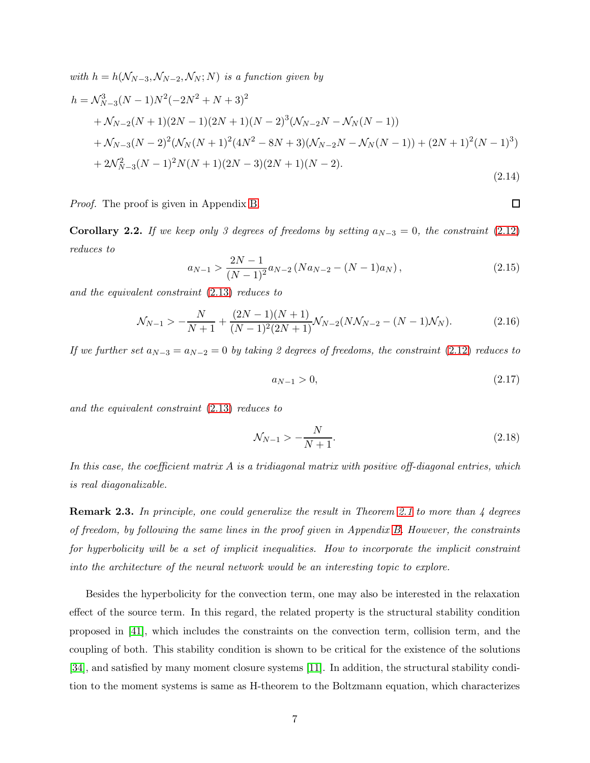<span id="page-6-0"></span>with 
$$
h = h(\mathcal{N}_{N-3}, \mathcal{N}_{N-2}, \mathcal{N}_N; N)
$$
 is a function given by  
\n
$$
h = \mathcal{N}_{N-3}^3 (N-1) N^2 (-2N^2 + N + 3)^2
$$
\n
$$
+ \mathcal{N}_{N-2} (N+1) (2N-1) (2N+1) (N-2)^3 (\mathcal{N}_{N-2} N - \mathcal{N}_N (N-1))
$$
\n
$$
+ \mathcal{N}_{N-3} (N-2)^2 (\mathcal{N}_N (N+1)^2 (4N^2 - 8N + 3) (\mathcal{N}_{N-2} N - \mathcal{N}_N (N-1)) + (2N+1)^2 (N-1)^3)
$$
\n
$$
+ 2\mathcal{N}_{N-3}^2 (N-1)^2 N (N+1) (2N-3) (2N+1) (N-2).
$$
\n(2.14)

Proof. The proof is given in Appendix [B.](#page-17-0)

**Corollary 2.2.** If we keep only 3 degrees of freedoms by setting  $a_{N-3} = 0$ , the constraint [\(2.12\)](#page-5-1) reduces to

<span id="page-6-1"></span>
$$
a_{N-1} > \frac{2N-1}{(N-1)^2} a_{N-2} (Na_{N-2} - (N-1)a_N),
$$
\n(2.15)

and the equivalent constraint [\(2.13\)](#page-5-2) reduces to

$$
\mathcal{N}_{N-1} > -\frac{N}{N+1} + \frac{(2N-1)(N+1)}{(N-1)^2(2N+1)} \mathcal{N}_{N-2}(N\mathcal{N}_{N-2} - (N-1)\mathcal{N}_N).
$$
 (2.16)

If we further set  $a_{N-3} = a_{N-2} = 0$  by taking 2 degrees of freedoms, the constraint [\(2.12\)](#page-5-1) reduces to

$$
a_{N-1} > 0, \t\t(2.17)
$$

 $\Box$ 

and the equivalent constraint [\(2.13\)](#page-5-2) reduces to

$$
\mathcal{N}_{N-1} > -\frac{N}{N+1}.\tag{2.18}
$$

In this case, the coefficient matrix  $A$  is a tridiagonal matrix with positive off-diagonal entries, which is real diagonalizable.

**Remark 2.3.** In principle, one could generalize the result in Theorem [2.1](#page-5-0) to more than 4 degrees of freedom, by following the same lines in the proof given in Appendix [B.](#page-17-0) However, the constraints for hyperbolicity will be a set of implicit inequalities. How to incorporate the implicit constraint into the architecture of the neural network would be an interesting topic to explore.

Besides the hyperbolicity for the convection term, one may also be interested in the relaxation effect of the source term. In this regard, the related property is the structural stability condition proposed in [\[41\]](#page-23-4), which includes the constraints on the convection term, collision term, and the coupling of both. This stability condition is shown to be critical for the existence of the solutions [\[34\]](#page-22-10), and satisfied by many moment closure systems [\[11\]](#page-20-8). In addition, the structural stability condition to the moment systems is same as H-theorem to the Boltzmann equation, which characterizes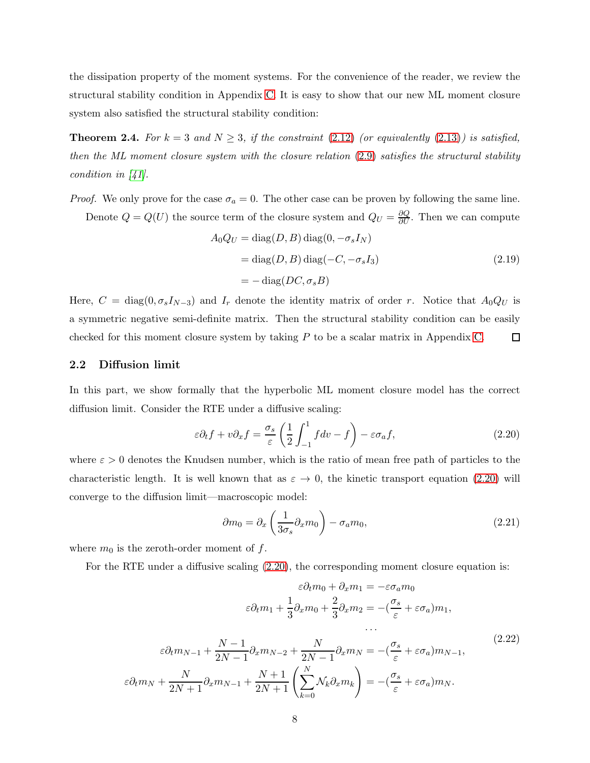the dissipation property of the moment systems. For the convenience of the reader, we review the structural stability condition in Appendix [C.](#page-19-0) It is easy to show that our new ML moment closure system also satisfied the structural stability condition:

<span id="page-7-0"></span>**Theorem 2.4.** For  $k = 3$  and  $N \geq 3$ , if the constraint [\(2.12\)](#page-5-1) (or equivalently [\(2.13\)](#page-5-2)) is satisfied, then the ML moment closure system with the closure relation [\(2.9\)](#page-5-3) satisfies the structural stability condition in [\[41\]](#page-23-4).

*Proof.* We only prove for the case  $\sigma_a = 0$ . The other case can be proven by following the same line. Denote  $Q = Q(U)$  the source term of the closure system and  $Q_U = \frac{\partial Q}{\partial U}$ . Then we can compute

$$
A_0 Q_U = \text{diag}(D, B) \text{ diag}(0, -\sigma_s I_N)
$$
  
= 
$$
\text{diag}(D, B) \text{diag}(-C, -\sigma_s I_3)
$$
  
= 
$$
-\text{diag}(DC, \sigma_s B)
$$
 (2.19)

Here,  $C = \text{diag}(0, \sigma_s I_{N-3})$  and  $I_r$  denote the identity matrix of order r. Notice that  $A_0 Q_U$  is a symmetric negative semi-definite matrix. Then the structural stability condition can be easily checked for this moment closure system by taking P to be a scalar matrix in Appendix [C.](#page-19-0)  $\Box$ 

#### <span id="page-7-4"></span>2.2 Diffusion limit

In this part, we show formally that the hyperbolic ML moment closure model has the correct diffusion limit. Consider the RTE under a diffusive scaling:

<span id="page-7-1"></span>
$$
\varepsilon \partial_t f + v \partial_x f = \frac{\sigma_s}{\varepsilon} \left( \frac{1}{2} \int_{-1}^1 f dv - f \right) - \varepsilon \sigma_a f,\tag{2.20}
$$

where  $\varepsilon > 0$  denotes the Knudsen number, which is the ratio of mean free path of particles to the characteristic length. It is well known that as  $\varepsilon \to 0$ , the kinetic transport equation [\(2.20\)](#page-7-1) will converge to the diffusion limit—macroscopic model:

<span id="page-7-3"></span>
$$
\partial m_0 = \partial_x \left( \frac{1}{3\sigma_s} \partial_x m_0 \right) - \sigma_a m_0,\tag{2.21}
$$

where  $m_0$  is the zeroth-order moment of  $f$ .

For the RTE under a diffusive scaling [\(2.20\)](#page-7-1), the corresponding moment closure equation is:

<span id="page-7-2"></span>
$$
\varepsilon \partial_t m_0 + \partial_x m_1 = -\varepsilon \sigma_a m_0
$$

$$
\varepsilon \partial_t m_1 + \frac{1}{3} \partial_x m_0 + \frac{2}{3} \partial_x m_2 = -(\frac{\sigma_s}{\varepsilon} + \varepsilon \sigma_a) m_1,
$$

$$
\cdots
$$

$$
\varepsilon \partial_t m_{N-1} + \frac{N-1}{2N-1} \partial_x m_{N-2} + \frac{N}{2N-1} \partial_x m_N = -(\frac{\sigma_s}{\varepsilon} + \varepsilon \sigma_a) m_{N-1},
$$

$$
\varepsilon \partial_t m_N + \frac{N}{2N+1} \partial_x m_{N-1} + \frac{N+1}{2N+1} \left( \sum_{k=0}^N \mathcal{N}_k \partial_x m_k \right) = -(\frac{\sigma_s}{\varepsilon} + \varepsilon \sigma_a) m_N.
$$

$$
(2.22)
$$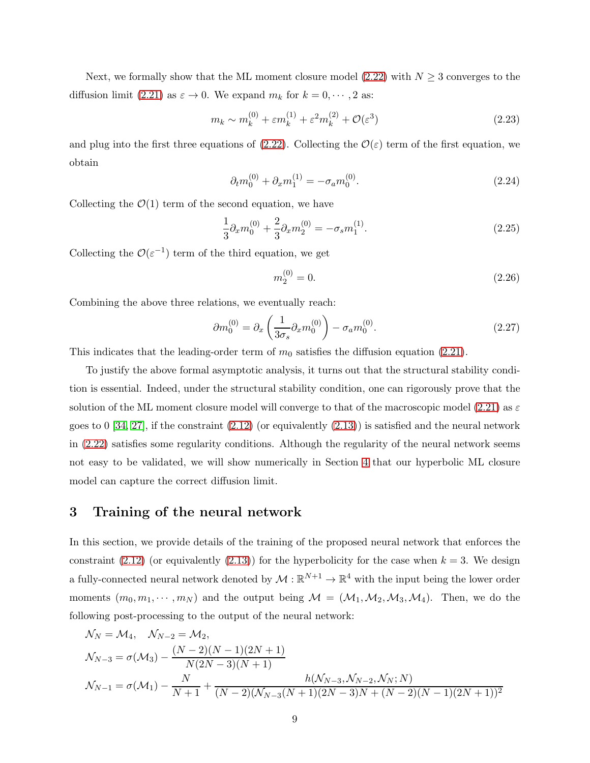Next, we formally show that the ML moment closure model [\(2.22\)](#page-7-2) with  $N \geq 3$  converges to the diffusion limit [\(2.21\)](#page-7-3) as  $\varepsilon \to 0$ . We expand  $m_k$  for  $k = 0, \dots, 2$  as:

$$
m_k \sim m_k^{(0)} + \varepsilon m_k^{(1)} + \varepsilon^2 m_k^{(2)} + \mathcal{O}(\varepsilon^3)
$$
 (2.23)

and plug into the first three equations of [\(2.22\)](#page-7-2). Collecting the  $\mathcal{O}(\varepsilon)$  term of the first equation, we obtain

$$
\partial_t m_0^{(0)} + \partial_x m_1^{(1)} = -\sigma_a m_0^{(0)}.\tag{2.24}
$$

Collecting the  $\mathcal{O}(1)$  term of the second equation, we have

$$
\frac{1}{3}\partial_x m_0^{(0)} + \frac{2}{3}\partial_x m_2^{(0)} = -\sigma_s m_1^{(1)}.
$$
\n(2.25)

Collecting the  $\mathcal{O}(\varepsilon^{-1})$  term of the third equation, we get

$$
m_2^{(0)} = 0.\t\t(2.26)
$$

Combining the above three relations, we eventually reach:

$$
\partial m_0^{(0)} = \partial_x \left( \frac{1}{3\sigma_s} \partial_x m_0^{(0)} \right) - \sigma_a m_0^{(0)}.
$$
 (2.27)

This indicates that the leading-order term of  $m_0$  satisfies the diffusion equation [\(2.21\)](#page-7-3).

To justify the above formal asymptotic analysis, it turns out that the structural stability condition is essential. Indeed, under the structural stability condition, one can rigorously prove that the solution of the ML moment closure model will converge to that of the macroscopic model [\(2.21\)](#page-7-3) as  $\varepsilon$ goes to 0 [\[34,](#page-22-10) [27\]](#page-22-11), if the constraint  $(2.12)$  (or equivalently  $(2.13)$ ) is satisfied and the neural network in [\(2.22\)](#page-7-2) satisfies some regularity conditions. Although the regularity of the neural network seems not easy to be validated, we will show numerically in Section [4](#page-9-0) that our hyperbolic ML closure model can capture the correct diffusion limit.

#### <span id="page-8-0"></span>3 Training of the neural network

In this section, we provide details of the training of the proposed neural network that enforces the constraint [\(2.12\)](#page-5-1) (or equivalently [\(2.13\)](#page-5-2)) for the hyperbolicity for the case when  $k = 3$ . We design a fully-connected neural network denoted by  $\mathcal{M}:\mathbb{R}^{N+1}\to\mathbb{R}^4$  with the input being the lower order moments  $(m_0, m_1, \cdots, m_N)$  and the output being  $\mathcal{M} = (\mathcal{M}_1, \mathcal{M}_2, \mathcal{M}_3, \mathcal{M}_4)$ . Then, we do the following post-processing to the output of the neural network:

$$
\mathcal{N}_N = \mathcal{M}_4, \quad \mathcal{N}_{N-2} = \mathcal{M}_2,
$$
  
\n
$$
\mathcal{N}_{N-3} = \sigma(\mathcal{M}_3) - \frac{(N-2)(N-1)(2N+1)}{N(2N-3)(N+1)}
$$
  
\n
$$
\mathcal{N}_{N-1} = \sigma(\mathcal{M}_1) - \frac{N}{N+1} + \frac{h(\mathcal{N}_{N-3}, \mathcal{N}_{N-2}, \mathcal{N}_N; N)}{(N-2)(\mathcal{N}_{N-3}(N+1)(2N-3)N + (N-2)(N-1)(2N+1))^2}
$$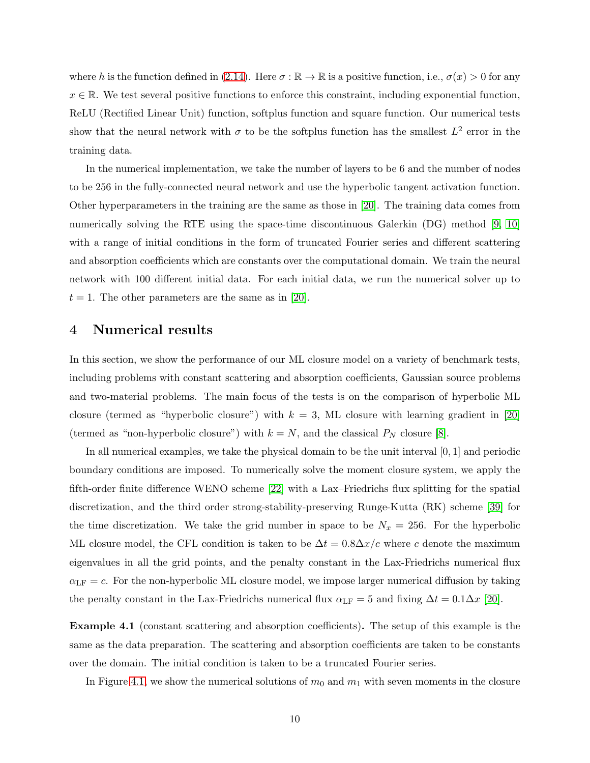where h is the function defined in [\(2.14\)](#page-6-0). Here  $\sigma : \mathbb{R} \to \mathbb{R}$  is a positive function, i.e.,  $\sigma(x) > 0$  for any  $x \in \mathbb{R}$ . We test several positive functions to enforce this constraint, including exponential function, ReLU (Rectified Linear Unit) function, softplus function and square function. Our numerical tests show that the neural network with  $\sigma$  to be the softplus function has the smallest  $L^2$  error in the training data.

In the numerical implementation, we take the number of layers to be 6 and the number of nodes to be 256 in the fully-connected neural network and use the hyperbolic tangent activation function. Other hyperparameters in the training are the same as those in [\[20\]](#page-21-0). The training data comes from numerically solving the RTE using the space-time discontinuous Galerkin (DG) method [\[9,](#page-20-9) [10\]](#page-20-10) with a range of initial conditions in the form of truncated Fourier series and different scattering and absorption coefficients which are constants over the computational domain. We train the neural network with 100 different initial data. For each initial data, we run the numerical solver up to  $t = 1$ . The other parameters are the same as in [\[20\]](#page-21-0).

#### <span id="page-9-0"></span>4 Numerical results

In this section, we show the performance of our ML closure model on a variety of benchmark tests, including problems with constant scattering and absorption coefficients, Gaussian source problems and two-material problems. The main focus of the tests is on the comparison of hyperbolic ML closure (termed as "hyperbolic closure") with  $k = 3$ , ML closure with learning gradient in [\[20\]](#page-21-0) (termed as "non-hyperbolic closure") with  $k = N$ , and the classical  $P_N$  closure [\[8\]](#page-20-0).

In all numerical examples, we take the physical domain to be the unit interval [0, 1] and periodic boundary conditions are imposed. To numerically solve the moment closure system, we apply the fifth-order finite difference WENO scheme [\[22\]](#page-21-10) with a Lax–Friedrichs flux splitting for the spatial discretization, and the third order strong-stability-preserving Runge-Kutta (RK) scheme [\[39\]](#page-23-5) for the time discretization. We take the grid number in space to be  $N_x = 256$ . For the hyperbolic ML closure model, the CFL condition is taken to be  $\Delta t = 0.8\Delta x/c$  where c denote the maximum eigenvalues in all the grid points, and the penalty constant in the Lax-Friedrichs numerical flux  $\alpha_{\text{LF}} = c$ . For the non-hyperbolic ML closure model, we impose larger numerical diffusion by taking the penalty constant in the Lax-Friedrichs numerical flux  $\alpha_{LF} = 5$  and fixing  $\Delta t = 0.1 \Delta x$  [\[20\]](#page-21-0).

<span id="page-9-1"></span>Example 4.1 (constant scattering and absorption coefficients). The setup of this example is the same as the data preparation. The scattering and absorption coefficients are taken to be constants over the domain. The initial condition is taken to be a truncated Fourier series.

In Figure [4.1,](#page-10-0) we show the numerical solutions of  $m_0$  and  $m_1$  with seven moments in the closure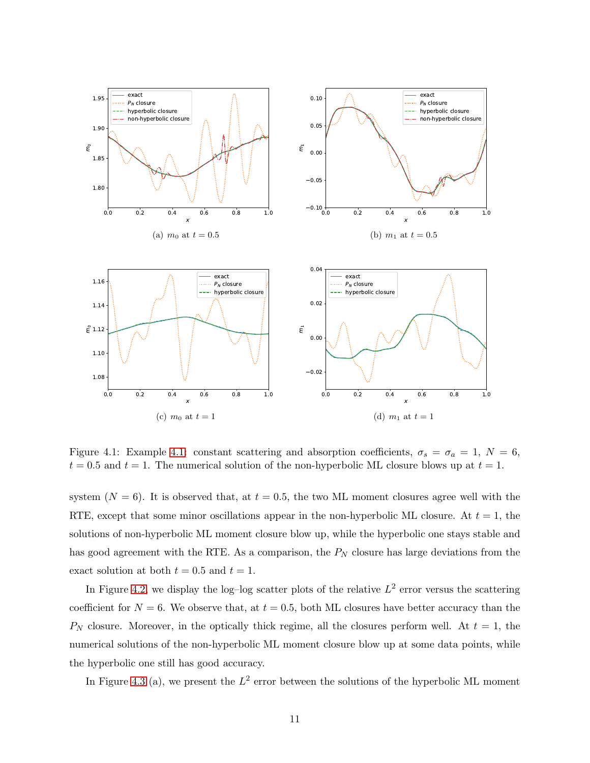

<span id="page-10-0"></span>Figure [4.1:](#page-9-1) Example 4.1: constant scattering and absorption coefficients,  $\sigma_s = \sigma_a = 1, N = 6$ ,  $t = 0.5$  and  $t = 1$ . The numerical solution of the non-hyperbolic ML closure blows up at  $t = 1$ .

system  $(N = 6)$ . It is observed that, at  $t = 0.5$ , the two ML moment closures agree well with the RTE, except that some minor oscillations appear in the non-hyperbolic ML closure. At  $t = 1$ , the solutions of non-hyperbolic ML moment closure blow up, while the hyperbolic one stays stable and has good agreement with the RTE. As a comparison, the  $P<sub>N</sub>$  closure has large deviations from the exact solution at both  $t = 0.5$  and  $t = 1$ .

In Figure [4.2,](#page-11-0) we display the log-log scatter plots of the relative  $L^2$  error versus the scattering coefficient for  $N = 6$ . We observe that, at  $t = 0.5$ , both ML closures have better accuracy than the  $P_N$  closure. Moreover, in the optically thick regime, all the closures perform well. At  $t = 1$ , the numerical solutions of the non-hyperbolic ML moment closure blow up at some data points, while the hyperbolic one still has good accuracy.

In Figure [4.3](#page-12-0) (a), we present the  $L^2$  error between the solutions of the hyperbolic ML moment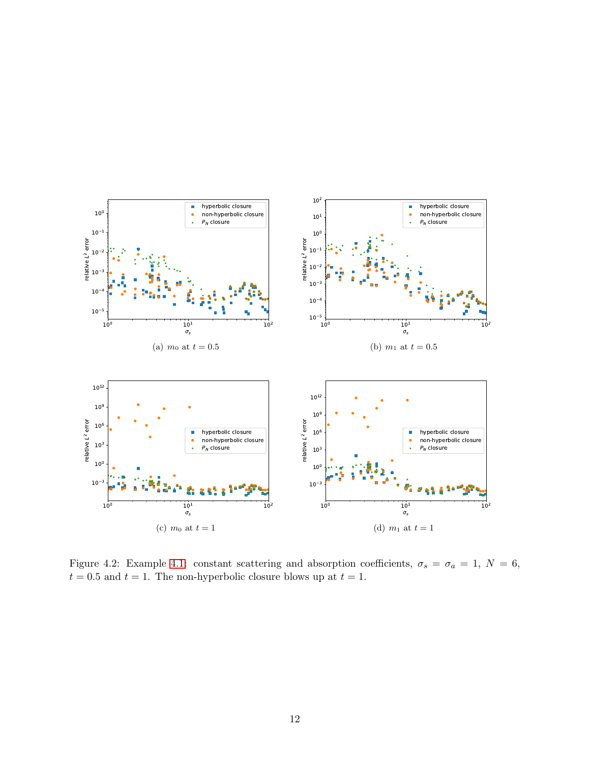

<span id="page-11-0"></span>Figure 4.2: Example [4.1:](#page-9-1) constant scattering and absorption coefficients,  $\sigma_s = \sigma_a = 1, N = 6$ ,  $t = 0.5$  and  $t = 1$ . The non-hyperbolic closure blows up at  $t = 1$ .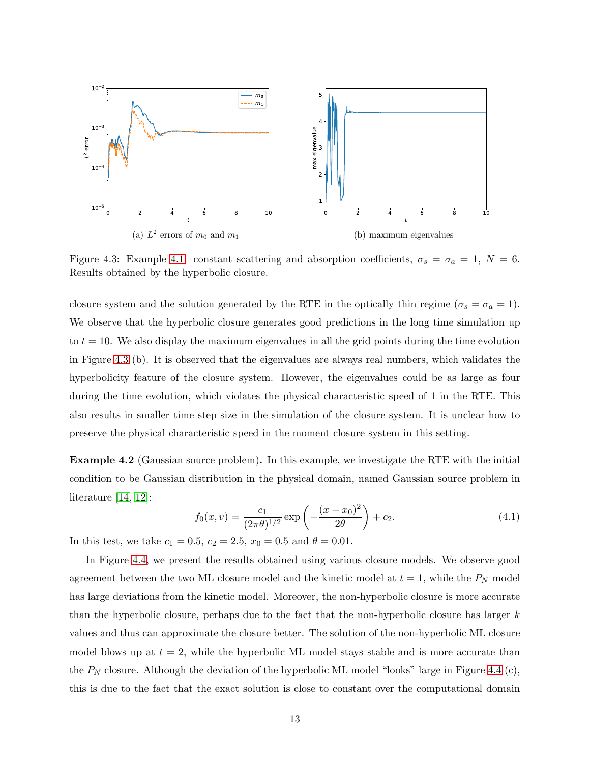

<span id="page-12-0"></span>Figure 4.3: Example [4.1:](#page-9-1) constant scattering and absorption coefficients,  $\sigma_s = \sigma_a = 1, N = 6$ . Results obtained by the hyperbolic closure.

closure system and the solution generated by the RTE in the optically thin regime ( $\sigma_s = \sigma_a = 1$ ). We observe that the hyperbolic closure generates good predictions in the long time simulation up to  $t = 10$ . We also display the maximum eigenvalues in all the grid points during the time evolution in Figure [4.3](#page-12-0) (b). It is observed that the eigenvalues are always real numbers, which validates the hyperbolicity feature of the closure system. However, the eigenvalues could be as large as four during the time evolution, which violates the physical characteristic speed of 1 in the RTE. This also results in smaller time step size in the simulation of the closure system. It is unclear how to preserve the physical characteristic speed in the moment closure system in this setting.

<span id="page-12-1"></span>Example 4.2 (Gaussian source problem). In this example, we investigate the RTE with the initial condition to be Gaussian distribution in the physical domain, named Gaussian source problem in literature [\[14,](#page-21-11) [12\]](#page-21-4):

$$
f_0(x,v) = \frac{c_1}{(2\pi\theta)^{1/2}} \exp\left(-\frac{(x-x_0)^2}{2\theta}\right) + c_2.
$$
 (4.1)

In this test, we take  $c_1 = 0.5$ ,  $c_2 = 2.5$ ,  $x_0 = 0.5$  and  $\theta = 0.01$ .

In Figure [4.4,](#page-13-0) we present the results obtained using various closure models. We observe good agreement between the two ML closure model and the kinetic model at  $t = 1$ , while the  $P<sub>N</sub>$  model has large deviations from the kinetic model. Moreover, the non-hyperbolic closure is more accurate than the hyperbolic closure, perhaps due to the fact that the non-hyperbolic closure has larger  $k$ values and thus can approximate the closure better. The solution of the non-hyperbolic ML closure model blows up at  $t = 2$ , while the hyperbolic ML model stays stable and is more accurate than the  $P_N$  closure. Although the deviation of the hyperbolic ML model "looks" large in Figure [4.4](#page-13-0) (c), this is due to the fact that the exact solution is close to constant over the computational domain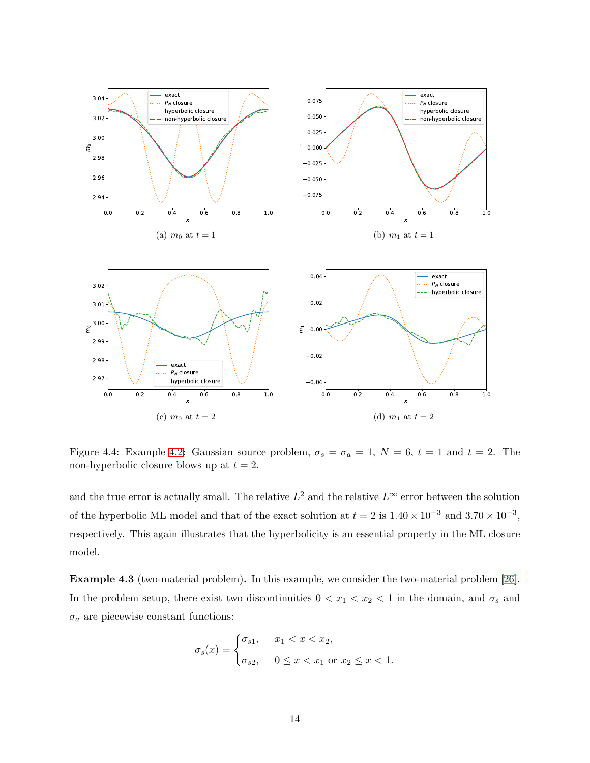

<span id="page-13-0"></span>Figure 4.4: Example [4.2:](#page-12-1) Gaussian source problem,  $\sigma_s = \sigma_a = 1$ ,  $N = 6$ ,  $t = 1$  and  $t = 2$ . The non-hyperbolic closure blows up at  $t = 2$ .

and the true error is actually small. The relative  $L^2$  and the relative  $L^{\infty}$  error between the solution of the hyperbolic ML model and that of the exact solution at  $t = 2$  is  $1.40 \times 10^{-3}$  and  $3.70 \times 10^{-3}$ , respectively. This again illustrates that the hyperbolicity is an essential property in the ML closure model.

<span id="page-13-1"></span>Example 4.3 (two-material problem). In this example, we consider the two-material problem [\[26\]](#page-22-12). In the problem setup, there exist two discontinuities  $0 < x_1 < x_2 < 1$  in the domain, and  $\sigma_s$  and  $\sigma_a$  are piecewise constant functions:

$$
\sigma_s(x) = \begin{cases} \sigma_{s1}, & x_1 < x < x_2, \\ \sigma_{s2}, & 0 \le x < x_1 \text{ or } x_2 \le x < 1. \end{cases}
$$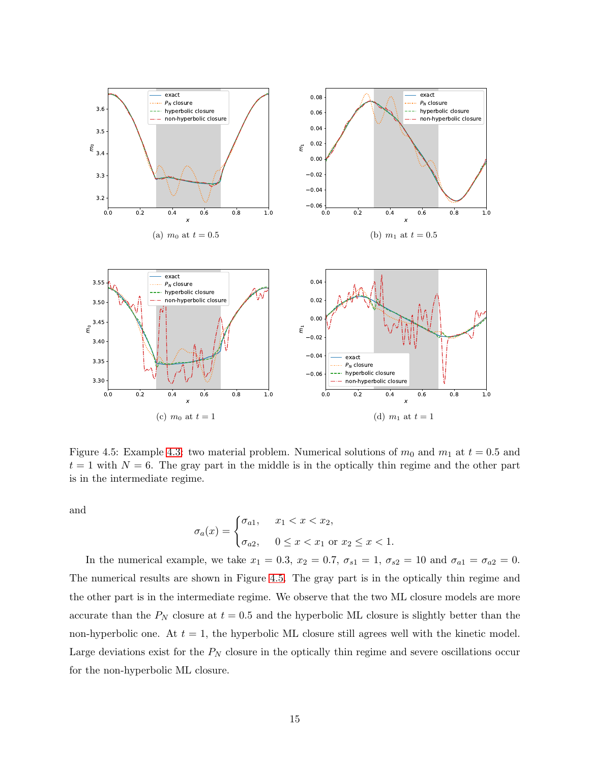

<span id="page-14-0"></span>Figure 4.5: Example [4.3:](#page-13-1) two material problem. Numerical solutions of  $m_0$  and  $m_1$  at  $t = 0.5$  and  $t = 1$  with  $N = 6$ . The gray part in the middle is in the optically thin regime and the other part is in the intermediate regime.

and

$$
\sigma_a(x) = \begin{cases} \sigma_{a1}, & x_1 < x < x_2, \\ \sigma_{a2}, & 0 \le x < x_1 \text{ or } x_2 \le x < 1. \end{cases}
$$

In the numerical example, we take  $x_1 = 0.3$ ,  $x_2 = 0.7$ ,  $\sigma_{s1} = 1$ ,  $\sigma_{s2} = 10$  and  $\sigma_{a1} = \sigma_{a2} = 0$ . The numerical results are shown in Figure [4.5.](#page-14-0) The gray part is in the optically thin regime and the other part is in the intermediate regime. We observe that the two ML closure models are more accurate than the  $P_N$  closure at  $t = 0.5$  and the hyperbolic ML closure is slightly better than the non-hyperbolic one. At  $t = 1$ , the hyperbolic ML closure still agrees well with the kinetic model. Large deviations exist for the  $P_N$  closure in the optically thin regime and severe oscillations occur for the non-hyperbolic ML closure.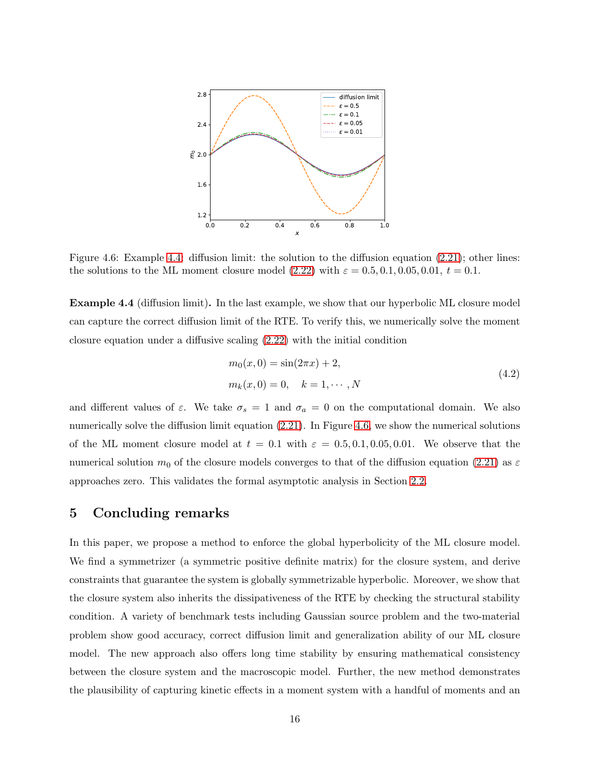

<span id="page-15-2"></span>Figure 4.6: Example [4.4:](#page-15-1) diffusion limit: the solution to the diffusion equation [\(2.21\)](#page-7-3); other lines: the solutions to the ML moment closure model [\(2.22\)](#page-7-2) with  $\varepsilon = 0.5, 0.1, 0.05, 0.01, t = 0.1$ .

<span id="page-15-1"></span>Example 4.4 (diffusion limit). In the last example, we show that our hyperbolic ML closure model can capture the correct diffusion limit of the RTE. To verify this, we numerically solve the moment closure equation under a diffusive scaling [\(2.22\)](#page-7-2) with the initial condition

$$
m_0(x,0) = \sin(2\pi x) + 2,
$$
  
\n
$$
m_k(x,0) = 0, \quad k = 1, \cdots, N
$$
\n(4.2)

and different values of  $\varepsilon$ . We take  $\sigma_s = 1$  and  $\sigma_a = 0$  on the computational domain. We also numerically solve the diffusion limit equation [\(2.21\)](#page-7-3). In Figure [4.6,](#page-15-2) we show the numerical solutions of the ML moment closure model at  $t = 0.1$  with  $\varepsilon = 0.5, 0.1, 0.05, 0.01$ . We observe that the numerical solution  $m_0$  of the closure models converges to that of the diffusion equation [\(2.21\)](#page-7-3) as  $\varepsilon$ approaches zero. This validates the formal asymptotic analysis in Section [2.2.](#page-7-4)

#### <span id="page-15-0"></span>5 Concluding remarks

In this paper, we propose a method to enforce the global hyperbolicity of the ML closure model. We find a symmetrizer (a symmetric positive definite matrix) for the closure system, and derive constraints that guarantee the system is globally symmetrizable hyperbolic. Moreover, we show that the closure system also inherits the dissipativeness of the RTE by checking the structural stability condition. A variety of benchmark tests including Gaussian source problem and the two-material problem show good accuracy, correct diffusion limit and generalization ability of our ML closure model. The new approach also offers long time stability by ensuring mathematical consistency between the closure system and the macroscopic model. Further, the new method demonstrates the plausibility of capturing kinetic effects in a moment system with a handful of moments and an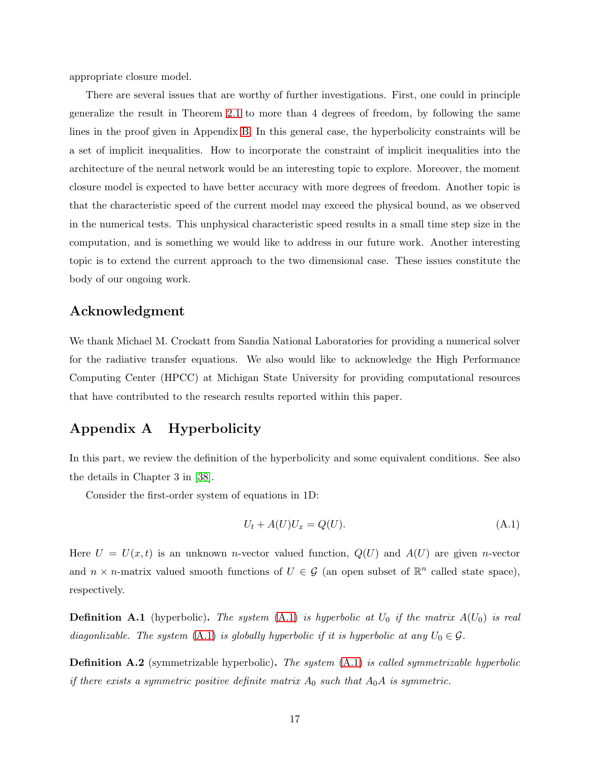appropriate closure model.

There are several issues that are worthy of further investigations. First, one could in principle generalize the result in Theorem [2.1](#page-5-0) to more than 4 degrees of freedom, by following the same lines in the proof given in Appendix [B.](#page-17-0) In this general case, the hyperbolicity constraints will be a set of implicit inequalities. How to incorporate the constraint of implicit inequalities into the architecture of the neural network would be an interesting topic to explore. Moreover, the moment closure model is expected to have better accuracy with more degrees of freedom. Another topic is that the characteristic speed of the current model may exceed the physical bound, as we observed in the numerical tests. This unphysical characteristic speed results in a small time step size in the computation, and is something we would like to address in our future work. Another interesting topic is to extend the current approach to the two dimensional case. These issues constitute the body of our ongoing work.

## Acknowledgment

We thank Michael M. Crockatt from Sandia National Laboratories for providing a numerical solver for the radiative transfer equations. We also would like to acknowledge the High Performance Computing Center (HPCC) at Michigan State University for providing computational resources that have contributed to the research results reported within this paper.

## <span id="page-16-0"></span>Appendix A Hyperbolicity

In this part, we review the definition of the hyperbolicity and some equivalent conditions. See also the details in Chapter 3 in [\[38\]](#page-23-0).

Consider the first-order system of equations in 1D:

<span id="page-16-1"></span>
$$
U_t + A(U)U_x = Q(U). \tag{A.1}
$$

Here  $U = U(x, t)$  is an unknown *n*-vector valued function,  $Q(U)$  and  $A(U)$  are given *n*-vector and  $n \times n$ -matrix valued smooth functions of  $U \in \mathcal{G}$  (an open subset of  $\mathbb{R}^n$  called state space), respectively.

**Definition A.1** (hyperbolic). The system  $(A.1)$  is hyperbolic at  $U_0$  if the matrix  $A(U_0)$  is real diagonlizable. The system [\(A.1\)](#page-16-1) is globally hyperbolic if it is hyperbolic at any  $U_0 \in \mathcal{G}$ .

**Definition A.2** (symmetrizable hyperbolic). The system  $(A.1)$  is called symmetrizable hyperbolic if there exists a symmetric positive definite matrix  $A_0$  such that  $A_0A$  is symmetric.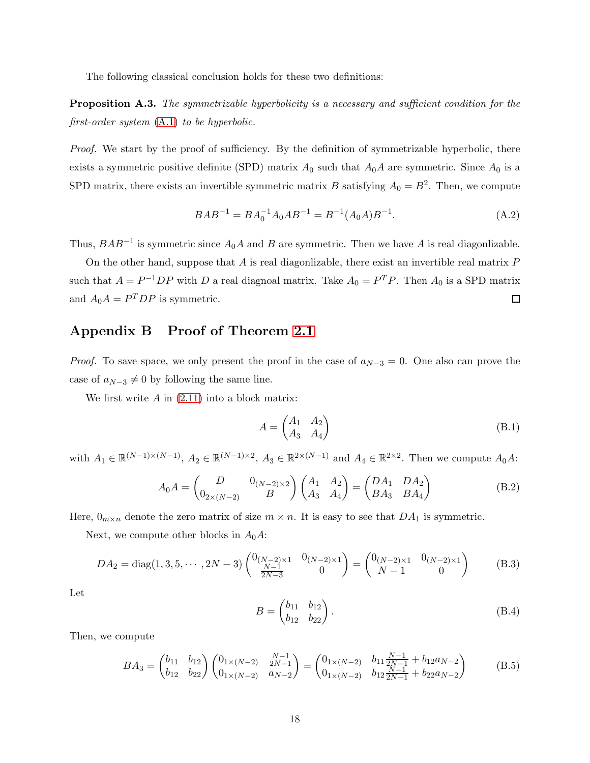The following classical conclusion holds for these two definitions:

**Proposition A.3.** The symmetrizable hyperbolicity is a necessary and sufficient condition for the first-order system [\(A.1\)](#page-16-1) to be hyperbolic.

Proof. We start by the proof of sufficiency. By the definition of symmetrizable hyperbolic, there exists a symmetric positive definite (SPD) matrix  $A_0$  such that  $A_0A$  are symmetric. Since  $A_0$  is a SPD matrix, there exists an invertible symmetric matrix B satisfying  $A_0 = B^2$ . Then, we compute

$$
BAB^{-1} = BA_0^{-1}A_0AB^{-1} = B^{-1}(A_0A)B^{-1}.
$$
\n(A.2)

Thus,  $BAB^{-1}$  is symmetric since  $A_0A$  and B are symmetric. Then we have A is real diagonlizable.

On the other hand, suppose that  $A$  is real diagonlizable, there exist an invertible real matrix  $P$ such that  $A = P^{-1}DP$  with D a real diagnoal matrix. Take  $A_0 = P^T P$ . Then  $A_0$  is a SPD matrix and  $A_0 A = P^T D P$  is symmetric.  $\Box$ 

# <span id="page-17-0"></span>Appendix B Proof of Theorem [2.1](#page-5-0)

*Proof.* To save space, we only present the proof in the case of  $a_{N-3} = 0$ . One also can prove the case of  $a_{N-3} \neq 0$  by following the same line.

We first write  $A$  in  $(2.11)$  into a block matrix:

$$
A = \begin{pmatrix} A_1 & A_2 \\ A_3 & A_4 \end{pmatrix}
$$
 (B.1)

with  $A_1 \in \mathbb{R}^{(N-1)\times(N-1)}$ ,  $A_2 \in \mathbb{R}^{(N-1)\times 2}$ ,  $A_3 \in \mathbb{R}^{2\times(N-1)}$  and  $A_4 \in \mathbb{R}^{2\times 2}$ . Then we compute  $A_0A$ :

$$
A_0 A = \begin{pmatrix} D & 0_{(N-2)\times 2} \\ 0_{2\times (N-2)} & B \end{pmatrix} \begin{pmatrix} A_1 & A_2 \\ A_3 & A_4 \end{pmatrix} = \begin{pmatrix} DA_1 & DA_2 \\ BA_3 & BA_4 \end{pmatrix}
$$
 (B.2)

Here,  $0_{m \times n}$  denote the zero matrix of size  $m \times n$ . It is easy to see that  $DA_1$  is symmetric.

Next, we compute other blocks in  $A_0A$ :

$$
DA_2 = \text{diag}(1, 3, 5, \cdots, 2N - 3) \begin{pmatrix} 0_{(N-2)\times 1} & 0_{(N-2)\times 1} \\ \frac{N-1}{2N-3} & 0 \end{pmatrix} = \begin{pmatrix} 0_{(N-2)\times 1} & 0_{(N-2)\times 1} \\ N-1 & 0 \end{pmatrix}
$$
 (B.3)

Let

$$
B = \begin{pmatrix} b_{11} & b_{12} \\ b_{12} & b_{22} \end{pmatrix} . \tag{B.4}
$$

Then, we compute

$$
BA_3 = \begin{pmatrix} b_{11} & b_{12} \\ b_{12} & b_{22} \end{pmatrix} \begin{pmatrix} 0_{1 \times (N-2)} & \frac{N-1}{2N-1} \\ 0_{1 \times (N-2)} & a_{N-2} \end{pmatrix} = \begin{pmatrix} 0_{1 \times (N-2)} & b_{11} \frac{N-1}{2N-1} + b_{12} a_{N-2} \\ 0_{1 \times (N-2)} & b_{12} \frac{N-1}{2N-1} + b_{22} a_{N-2} \end{pmatrix}
$$
 (B.5)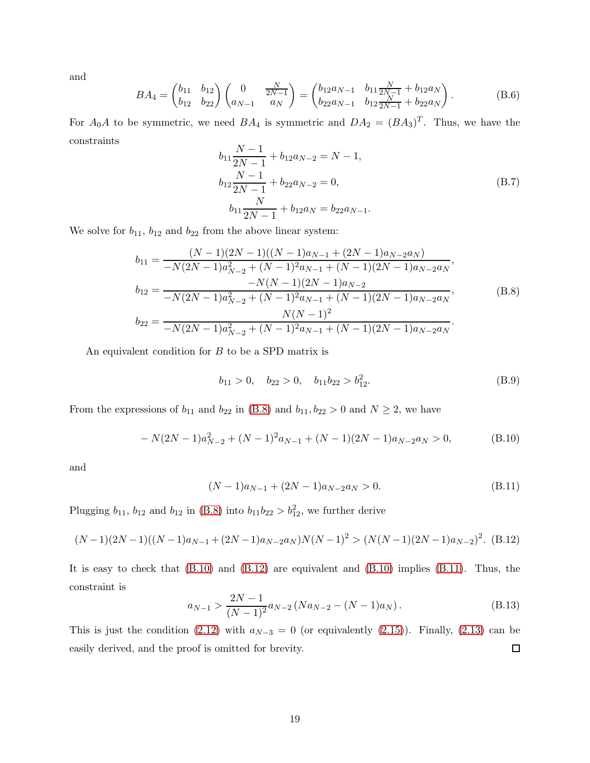and

$$
BA_4 = \begin{pmatrix} b_{11} & b_{12} \\ b_{12} & b_{22} \end{pmatrix} \begin{pmatrix} 0 & \frac{N}{2N-1} \\ a_{N-1} & a_N \end{pmatrix} = \begin{pmatrix} b_{12}a_{N-1} & b_{11}\frac{N}{2N-1} + b_{12}a_N \\ b_{22}a_{N-1} & b_{12}\frac{N}{2N-1} + b_{22}a_N \end{pmatrix}.
$$
 (B.6)

For  $A_0A$  to be symmetric, we need  $BA_4$  is symmetric and  $DA_2 = (BA_3)^T$ . Thus, we have the constraints

$$
b_{11}\frac{N-1}{2N-1} + b_{12}a_{N-2} = N - 1,
$$
  
\n
$$
b_{12}\frac{N-1}{2N-1} + b_{22}a_{N-2} = 0,
$$
  
\n
$$
b_{11}\frac{N}{2N-1} + b_{12}a_{N} = b_{22}a_{N-1}.
$$
\n(B.7)

We solve for  $b_{11}$ ,  $b_{12}$  and  $b_{22}$  from the above linear system:

<span id="page-18-0"></span>
$$
b_{11} = \frac{(N-1)(2N-1)((N-1)a_{N-1} + (2N-1)a_{N-2}a_N)}{-N(2N-1)a_{N-2}^2 + (N-1)^2a_{N-1} + (N-1)(2N-1)a_{N-2}a_N},
$$
  
\n
$$
b_{12} = \frac{-N(N-1)(2N-1)a_{N-2}}{-N(2N-1)a_{N-2} + (N-1)^2a_{N-1} + (N-1)(2N-1)a_{N-2}a_N},
$$
  
\n
$$
b_{22} = \frac{N(N-1)^2}{-N(2N-1)a_{N-2}^2 + (N-1)^2a_{N-1} + (N-1)(2N-1)a_{N-2}a_N}.
$$
  
\n(B.8)

An equivalent condition for  $B$  to be a SPD matrix is

$$
b_{11} > 0, \quad b_{22} > 0, \quad b_{11}b_{22} > b_{12}^2. \tag{B.9}
$$

From the expressions of  $b_{11}$  and  $b_{22}$  in [\(B.8\)](#page-18-0) and  $b_{11}$ ,  $b_{22} > 0$  and  $N \ge 2$ , we have

<span id="page-18-1"></span>
$$
-N(2N-1)a_{N-2}^2 + (N-1)^2 a_{N-1} + (N-1)(2N-1)a_{N-2}a_N > 0,
$$
 (B.10)

and

<span id="page-18-3"></span>
$$
(N-1)a_{N-1} + (2N-1)a_{N-2}a_N > 0.
$$
 (B.11)

Plugging  $b_{11}$ ,  $b_{12}$  and  $b_{12}$  in [\(B.8\)](#page-18-0) into  $b_{11}b_{22} > b_{12}^2$ , we further derive

<span id="page-18-2"></span>
$$
(N-1)(2N-1)((N-1)a_{N-1}+(2N-1)a_{N-2}a_N)N(N-1)^2>(N(N-1)(2N-1)a_{N-2})^2.
$$
 (B.12)

It is easy to check that [\(B.10\)](#page-18-1) and [\(B.12\)](#page-18-2) are equivalent and [\(B.10\)](#page-18-1) implies [\(B.11\)](#page-18-3). Thus, the constraint is

$$
a_{N-1} > \frac{2N-1}{(N-1)^2} a_{N-2} (Na_{N-2} - (N-1)a_N).
$$
 (B.13)

This is just the condition [\(2.12\)](#page-5-1) with  $a_{N-3} = 0$  (or equivalently [\(2.15\)](#page-6-1)). Finally, [\(2.13\)](#page-5-2) can be  $\Box$ easily derived, and the proof is omitted for brevity.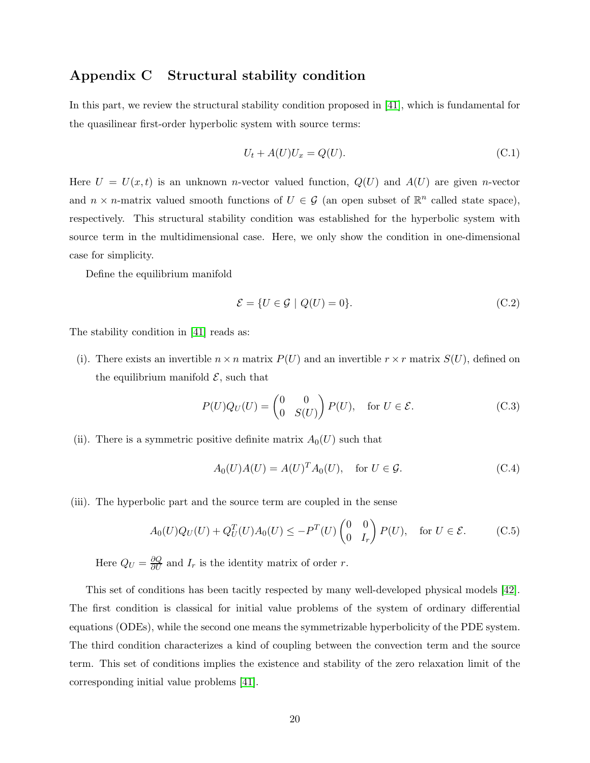## <span id="page-19-0"></span>Appendix C Structural stability condition

In this part, we review the structural stability condition proposed in [\[41\]](#page-23-4), which is fundamental for the quasilinear first-order hyperbolic system with source terms:

$$
U_t + A(U)U_x = Q(U). \tag{C.1}
$$

Here  $U = U(x, t)$  is an unknown *n*-vector valued function,  $Q(U)$  and  $A(U)$  are given *n*-vector and  $n \times n$ -matrix valued smooth functions of  $U \in \mathcal{G}$  (an open subset of  $\mathbb{R}^n$  called state space), respectively. This structural stability condition was established for the hyperbolic system with source term in the multidimensional case. Here, we only show the condition in one-dimensional case for simplicity.

Define the equilibrium manifold

$$
\mathcal{E} = \{ U \in \mathcal{G} \mid Q(U) = 0 \}. \tag{C.2}
$$

The stability condition in [\[41\]](#page-23-4) reads as:

(i). There exists an invertible  $n \times n$  matrix  $P(U)$  and an invertible  $r \times r$  matrix  $S(U)$ , defined on the equilibrium manifold  $\mathcal{E}$ , such that

$$
P(U)Q_U(U) = \begin{pmatrix} 0 & 0 \\ 0 & S(U) \end{pmatrix} P(U), \text{ for } U \in \mathcal{E}.
$$
 (C.3)

(ii). There is a symmetric positive definite matrix  $A_0(U)$  such that

$$
A_0(U)A(U) = A(U)^T A_0(U), \quad \text{for } U \in \mathcal{G}.
$$
 (C.4)

(iii). The hyperbolic part and the source term are coupled in the sense

$$
A_0(U)Q_U(U) + Q_U^T(U)A_0(U) \le -P^T(U) \begin{pmatrix} 0 & 0 \ 0 & I_r \end{pmatrix} P(U), \text{ for } U \in \mathcal{E}.
$$
 (C.5)

Here  $Q_U = \frac{\partial Q}{\partial U}$  and  $I_r$  is the identity matrix of order r.

This set of conditions has been tacitly respected by many well-developed physical models [\[42\]](#page-23-6). The first condition is classical for initial value problems of the system of ordinary differential equations (ODEs), while the second one means the symmetrizable hyperbolicity of the PDE system. The third condition characterizes a kind of coupling between the convection term and the source term. This set of conditions implies the existence and stability of the zero relaxation limit of the corresponding initial value problems [\[41\]](#page-23-4).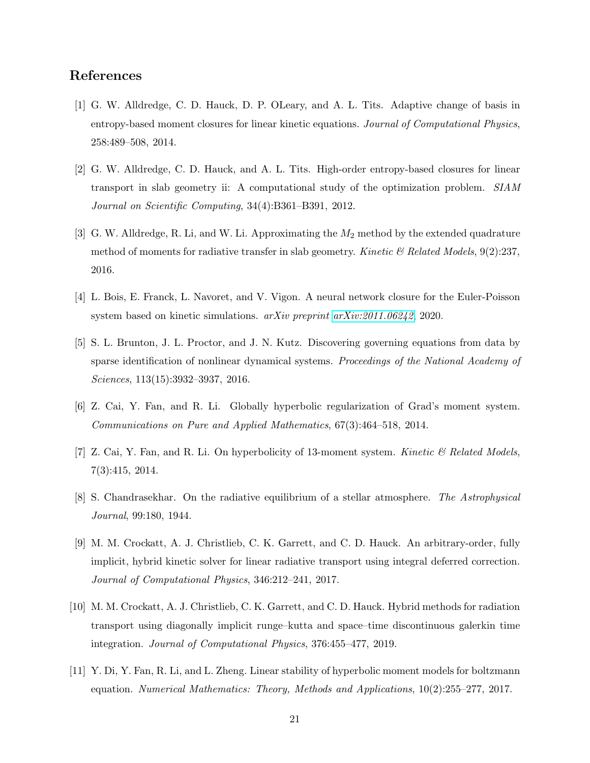# <span id="page-20-2"></span>References

- [1] G. W. Alldredge, C. D. Hauck, D. P. OLeary, and A. L. Tits. Adaptive change of basis in entropy-based moment closures for linear kinetic equations. Journal of Computational Physics, 258:489–508, 2014.
- <span id="page-20-1"></span>[2] G. W. Alldredge, C. D. Hauck, and A. L. Tits. High-order entropy-based closures for linear transport in slab geometry ii: A computational study of the optimization problem. SIAM Journal on Scientific Computing, 34(4):B361–B391, 2012.
- <span id="page-20-3"></span>[3] G. W. Alldredge, R. Li, and W. Li. Approximating the  $M_2$  method by the extended quadrature method of moments for radiative transfer in slab geometry. Kinetic  $\mathcal{B}$  Related Models, 9(2):237, 2016.
- <span id="page-20-7"></span><span id="page-20-6"></span>[4] L. Bois, E. Franck, L. Navoret, and V. Vigon. A neural network closure for the Euler-Poisson system based on kinetic simulations.  $arXiv$  preprint  $arXiv:2011.06242$ , 2020.
- [5] S. L. Brunton, J. L. Proctor, and J. N. Kutz. Discovering governing equations from data by sparse identification of nonlinear dynamical systems. Proceedings of the National Academy of Sciences, 113(15):3932–3937, 2016.
- <span id="page-20-5"></span><span id="page-20-4"></span>[6] Z. Cai, Y. Fan, and R. Li. Globally hyperbolic regularization of Grad's moment system. Communications on Pure and Applied Mathematics, 67(3):464–518, 2014.
- <span id="page-20-0"></span>[7] Z. Cai, Y. Fan, and R. Li. On hyperbolicity of 13-moment system. Kinetic  $\mathcal{B}$  Related Models, 7(3):415, 2014.
- <span id="page-20-9"></span>[8] S. Chandrasekhar. On the radiative equilibrium of a stellar atmosphere. The Astrophysical Journal, 99:180, 1944.
- [9] M. M. Crockatt, A. J. Christlieb, C. K. Garrett, and C. D. Hauck. An arbitrary-order, fully implicit, hybrid kinetic solver for linear radiative transport using integral deferred correction. Journal of Computational Physics, 346:212–241, 2017.
- <span id="page-20-10"></span>[10] M. M. Crockatt, A. J. Christlieb, C. K. Garrett, and C. D. Hauck. Hybrid methods for radiation transport using diagonally implicit runge–kutta and space–time discontinuous galerkin time integration. Journal of Computational Physics, 376:455–477, 2019.
- <span id="page-20-8"></span>[11] Y. Di, Y. Fan, R. Li, and L. Zheng. Linear stability of hyperbolic moment models for boltzmann equation. Numerical Mathematics: Theory, Methods and Applications, 10(2):255–277, 2017.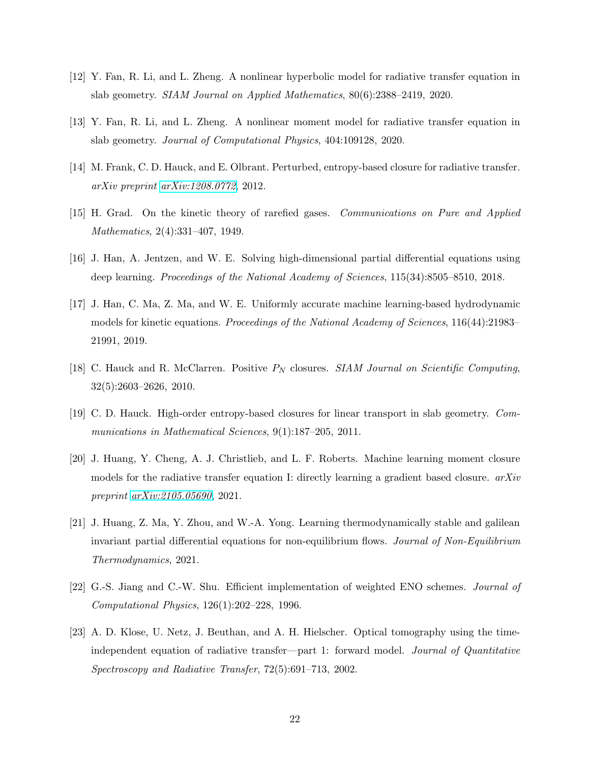- <span id="page-21-5"></span><span id="page-21-4"></span>[12] Y. Fan, R. Li, and L. Zheng. A nonlinear hyperbolic model for radiative transfer equation in slab geometry. SIAM Journal on Applied Mathematics, 80(6):2388–2419, 2020.
- <span id="page-21-11"></span>[13] Y. Fan, R. Li, and L. Zheng. A nonlinear moment model for radiative transfer equation in slab geometry. Journal of Computational Physics, 404:109128, 2020.
- <span id="page-21-6"></span>[14] M. Frank, C. D. Hauck, and E. Olbrant. Perturbed, entropy-based closure for radiative transfer. arXiv preprint [arXiv:1208.0772](http://arxiv.org/abs/1208.0772), 2012.
- <span id="page-21-7"></span>[15] H. Grad. On the kinetic theory of rarefied gases. Communications on Pure and Applied Mathematics, 2(4):331–407, 1949.
- <span id="page-21-8"></span>[16] J. Han, A. Jentzen, and W. E. Solving high-dimensional partial differential equations using deep learning. Proceedings of the National Academy of Sciences, 115(34):8505–8510, 2018.
- [17] J. Han, C. Ma, Z. Ma, and W. E. Uniformly accurate machine learning-based hydrodynamic models for kinetic equations. *Proceedings of the National Academy of Sciences*, 116(44):21983– 21991, 2019.
- <span id="page-21-3"></span><span id="page-21-2"></span>[18] C. Hauck and R. McClarren. Positive  $P_N$  closures. SIAM Journal on Scientific Computing, 32(5):2603–2626, 2010.
- <span id="page-21-0"></span>[19] C. D. Hauck. High-order entropy-based closures for linear transport in slab geometry. Communications in Mathematical Sciences, 9(1):187–205, 2011.
- [20] J. Huang, Y. Cheng, A. J. Christlieb, and L. F. Roberts. Machine learning moment closure models for the radiative transfer equation I: directly learning a gradient based closure.  $arXiv$ preprint [arXiv:2105.05690](http://arxiv.org/abs/2105.05690), 2021.
- <span id="page-21-9"></span>[21] J. Huang, Z. Ma, Y. Zhou, and W.-A. Yong. Learning thermodynamically stable and galilean invariant partial differential equations for non-equilibrium flows. Journal of Non-Equilibrium Thermodynamics, 2021.
- <span id="page-21-10"></span><span id="page-21-1"></span>[22] G.-S. Jiang and C.-W. Shu. Efficient implementation of weighted ENO schemes. Journal of Computational Physics, 126(1):202–228, 1996.
- [23] A. D. Klose, U. Netz, J. Beuthan, and A. H. Hielscher. Optical tomography using the timeindependent equation of radiative transfer—part 1: forward model. Journal of Quantitative Spectroscopy and Radiative Transfer, 72(5):691–713, 2002.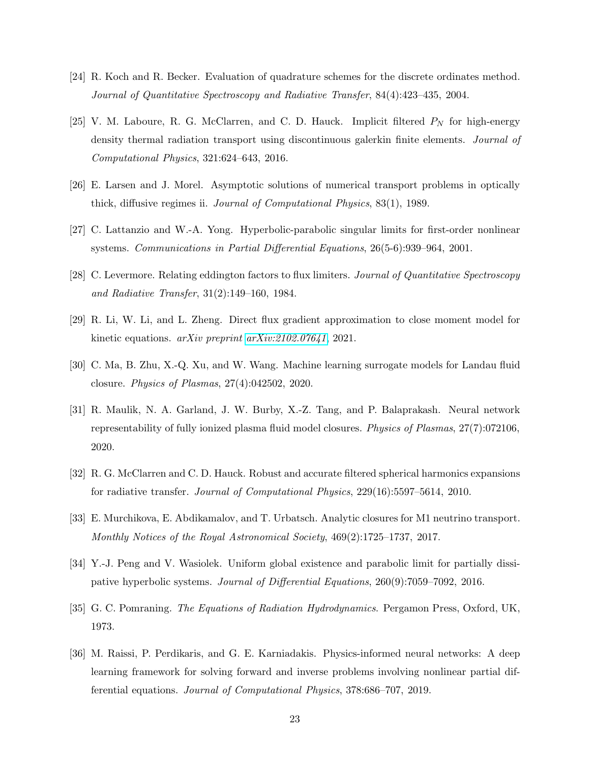- <span id="page-22-5"></span><span id="page-22-1"></span>[24] R. Koch and R. Becker. Evaluation of quadrature schemes for the discrete ordinates method. Journal of Quantitative Spectroscopy and Radiative Transfer, 84(4):423–435, 2004.
- [25] V. M. Laboure, R. G. McClarren, and C. D. Hauck. Implicit filtered  $P<sub>N</sub>$  for high-energy density thermal radiation transport using discontinuous galerkin finite elements. Journal of Computational Physics, 321:624–643, 2016.
- <span id="page-22-12"></span><span id="page-22-11"></span>[26] E. Larsen and J. Morel. Asymptotic solutions of numerical transport problems in optically thick, diffusive regimes ii. Journal of Computational Physics, 83(1), 1989.
- <span id="page-22-2"></span>[27] C. Lattanzio and W.-A. Yong. Hyperbolic-parabolic singular limits for first-order nonlinear systems. Communications in Partial Differential Equations, 26(5-6):939–964, 2001.
- <span id="page-22-6"></span>[28] C. Levermore. Relating eddington factors to flux limiters. Journal of Quantitative Spectroscopy and Radiative Transfer, 31(2):149–160, 1984.
- <span id="page-22-8"></span>[29] R. Li, W. Li, and L. Zheng. Direct flux gradient approximation to close moment model for kinetic equations. *arXiv preprint [arXiv:2102.07641](http://arxiv.org/abs/2102.07641)*, 2021.
- <span id="page-22-9"></span>[30] C. Ma, B. Zhu, X.-Q. Xu, and W. Wang. Machine learning surrogate models for Landau fluid closure. Physics of Plasmas, 27(4):042502, 2020.
- [31] R. Maulik, N. A. Garland, J. W. Burby, X.-Z. Tang, and P. Balaprakash. Neural network representability of fully ionized plasma fluid model closures. Physics of Plasmas, 27(7):072106, 2020.
- <span id="page-22-4"></span><span id="page-22-3"></span>[32] R. G. McClarren and C. D. Hauck. Robust and accurate filtered spherical harmonics expansions for radiative transfer. Journal of Computational Physics, 229(16):5597–5614, 2010.
- <span id="page-22-10"></span>[33] E. Murchikova, E. Abdikamalov, and T. Urbatsch. Analytic closures for M1 neutrino transport. Monthly Notices of the Royal Astronomical Society, 469(2):1725–1737, 2017.
- <span id="page-22-0"></span>[34] Y.-J. Peng and V. Wasiolek. Uniform global existence and parabolic limit for partially dissipative hyperbolic systems. Journal of Differential Equations, 260(9):7059–7092, 2016.
- <span id="page-22-7"></span>[35] G. C. Pomraning. The Equations of Radiation Hydrodynamics. Pergamon Press, Oxford, UK, 1973.
- [36] M. Raissi, P. Perdikaris, and G. E. Karniadakis. Physics-informed neural networks: A deep learning framework for solving forward and inverse problems involving nonlinear partial differential equations. Journal of Computational Physics, 378:686–707, 2019.